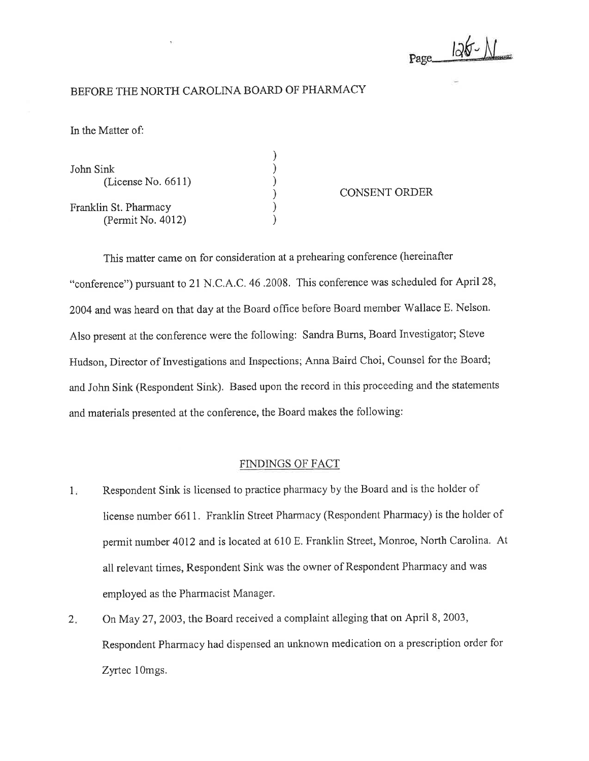Page 126-1

## BEFORE THE NORTH CAROLINA BOARD OF PHARMACY

ln the Matter of:

| John Sink<br>(License No. $6611$ )         |  |
|--------------------------------------------|--|
| Franklin St. Pharmacy<br>(Permit No. 4012) |  |

## CONSENT ORDER

This matter came on for consideration at a prehearing conference (hereinafter "conference") pursuant to 21 N.C.A.C.46.2008. This conference was scheduled for April28, 2004 and was heard on that day at the Board office before Board member Wallace E. Nelson. Also present at the conference were the following: Sandra Burns, Board lnvestigator; Steve Hudson, Director of Investigations and Inspections; Anna Baird Choi, Counsel for the Board; and John Sink (Respondent Sink). Based upon the record in this proceeding and the statements and materials presented at the conference, the Board makes the following:

) ) ) ) ) )

## FINDINGS OF FACT

- Respondent Sink is licensed to practice pharmacy by the Board and is the holder of license number 6611. Franklin Street Pharmacy (Respondent Pharmacy) is the holder of permit number 4012 and is located at 610 E. Franklin Street, Montoe, North Carolina. At all relevant times, Respondent Sink was the owner of Respondent Pharmacy and was employed as the Pharmacist Manager.  $1.$
- On May 27,2003, the Board received a complaint alleging that on April 8, 2003, Respondent Pharmacy had dispensed an unknown medication on a prescription order for Zyrtec 1Omgs.  $2.$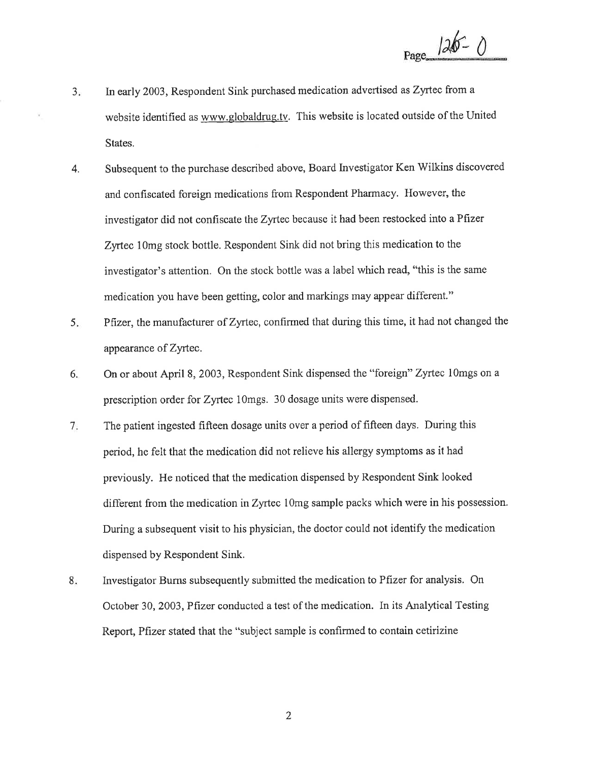$Page 126 - 0$ 

- $3<sub>1</sub>$ ln early 2003, Respondent Sink purchased medication advertised as Zyrtec from a website identified as www.globaldrug.tv. This website is located outside of the United States,
- 4. Subsequent to the purchase described above, Board Investigator Ken Wilkins discovered and confiscated foreign medications from Respondent Pharmacy. However, the investigator did not confiscate the Zyrtec because it had been restocked into aPfizer Zyrtec 1Omg stock bottle. Respondent Sink did not bring this medication to the investigator's attention. On the stock bottle was a label which read, "this is the same medication you have been getting, color and markings may appear different."
- 5 Pfrzer, the manufacturer of Zyrtec, confirmed that during this time, it had not changed the appearance of Zyrtec.
- 6. On or about April 8, 2003, Respondent Sink dispensed the "foreign" Zyrtec lOmgs on <sup>a</sup> prescription order for Zyrtec 1Omgs. 30 dosage units were dispensed.
- 7 The patient ingested fifteen dosage units over a period of fifteen days. During this period, he felt that the medication did not relieve his allergy symptoms as it had previously. He noticed that the medication dispensed by Respondent Sink looked different from the medication in Zyrtec 10mg sample packs which were in his possession. During a subsequent visit to his physician, the doctor could not identify the medication dispensed by Respondent Sink.
- Investigator Burns subsequently submitted the medication to Pftzer for analysis. On October 30,2003,Pftzer conducted a test of the medication. In its Analytical Testing Report, Pfizer stated that the "subject sample is confirmed to contain cetirizine 8

2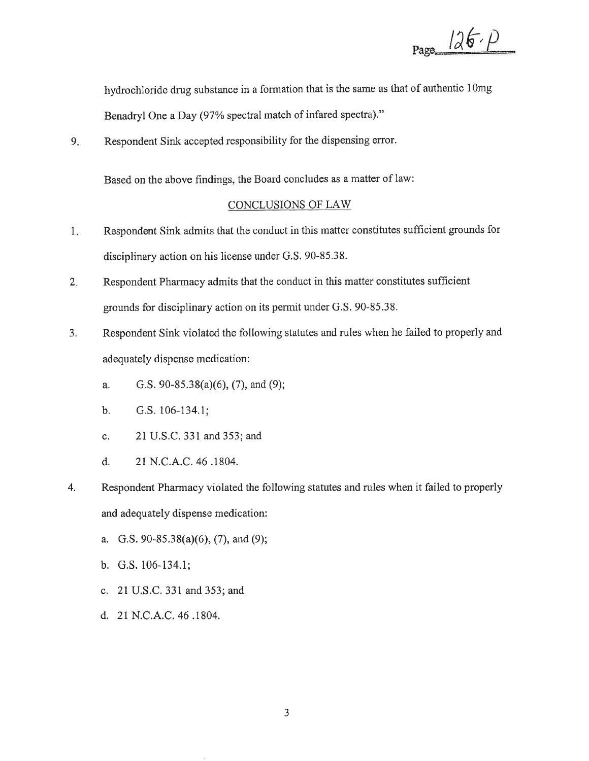$Page_126. p$ 

hydrochloride drug substance in a formation that is the same as that of authentic 1Omg

Benadryl One a Day (97% spectral match of infared spectra)."

9. Respondent Sink accepted responsibility for the dispensing error.

Based on the above findings, the Board concludes as a matter of law:

## CONCLUSIONS OF LAW

- 1 Respondent Sink admits that the conduct in this matter constitutes sufÍicient grounds for disciplinary action on his license under G.S. 90-85.38.
- 2 Respondent Pharmacy admits that the conduct in this matter constitutes sufficient grounds for disciplinary action on its permit under G.S. 90-85.38.
- 3. Respondent Sink violated the following statutes and rules when he failed to properly and adequately dispense medication:
	- a. G.S. 90-85.38(a)(6), (7), and (9);
	- b. G.s. 106-134.1;
	- c. 21 U.S.C.33l and 353; and
	- d. 21 N.C.4.C.46 .1804.
- Respondent Pharmacy violated the following statutes and rules when it failed to properly and adequately dispense medication: 4.
	- a. G.S. 90-85.38(a)(6), (7), and (9);
	- b, G.S. 106-134.1;
	- c. 2l U.S.C. 331 and 353; and
	- d. 21 N.C.A.C. 46 .1804.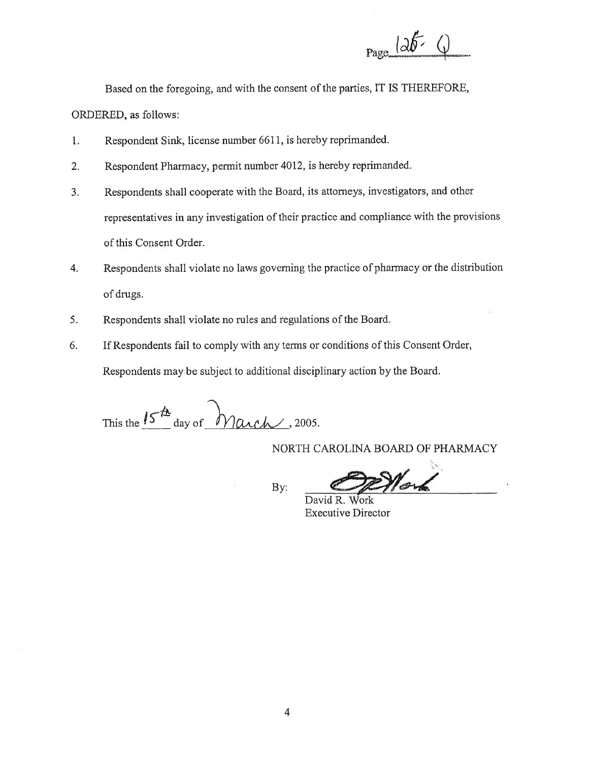

Based on the foregoing, and with the consent of the parties, IT IS THEREFORE,

ORDERED, as follows:

- Respondent Sink, license number 6611, is hereby reprimanded. 1.
- $2.$ Respondent Pharmacy, permit number 4012, is hereby reprimanded.
- $3.$ Respondents shall cooperate with the Board, its attorneys, investigators, and other representatives in any investigation of their practice and compliance with the provisions of this Consent Order.
- Respondents shall violate no laws governing the practice of pharmacy or the distribution 4. of drugs.
- Respondents shall violate no rules and regulations of the Board. 5.
- 6. If Respondents fail to comply with any terms or conditions of this Consent Order, Respondents may be subject to additional disciplinary action by the Board.

This the  $15^{th}$  day of March, 2005.

NORTH CAROLINA BOARD OF PHARMACY

By:

Woy

David R. Work **Executive Director**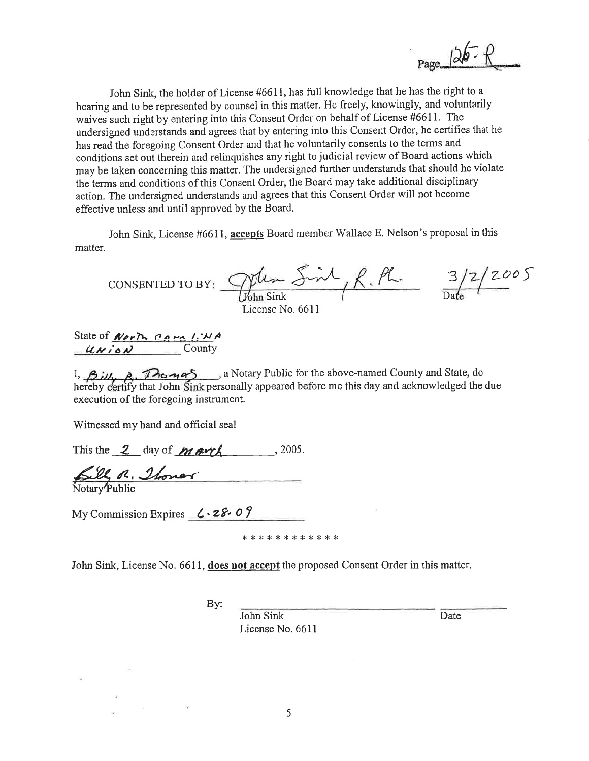John Sink, the holder of License #6611, has full knowledge that he has the right to a hearing and to be represented by counsel in this matter. He freely, knowingly, and voluntarily waives such right by entering into this Consent Order on behalf of License #6611. The undersigned understands and agrees that by entering into this Consent Order, he certifies that he has read the foregoing Consent Order and that he voluntarily consents to the terms and conditions set out therein and relinquishes any right to judicial review of Board actions which may be taken concerning this matter. The undersigned further understands that should he violate the terms and conditions of this Consent Order, the Board may take additional disciplinary action. The undersigned understands and agrees that this Consent Order will not become effective unless and until approved by the Board.

John Sink, License #6611, accepts Board member Wallace E. Nelson's proposal in this matter.

CONSENTED TO BY:  $\frac{D^{\text{th}} \cdot S}{D^{\text{th}} \cdot S}$   $R \cdot \frac{PL}{D^{\text{at}}}} = \frac{3/2}{D^{\text{at}}}$ License No. 6611

State of  $N$ erT<sub>n</sub> CAMP  $l:NA$  $uxiox$  County

1,  $\beta$   $\mu$ ,  $\lambda$   $\alpha$   $\gamma$   $\alpha$   $\gamma$  and  $\gamma$  a Notary Public for the above-named County and State, do hereby certify that John Sink personally appeared before me this day and acknowledged the due execution of the foregoing instrument.

Witnessed my hand and official seal

This the  $2$  day of  $M$  and  $\sim$ , 2005.

Sill R. Thonor

My Commission Expires  $( \cdot 28.07)$ 

\* \* \* \* \* \* \* \* \* \* \* \*

John Sink, License No. 6611, does not accept the proposed Consent Order in this matter.

By:

**John Sink** License No. 6611 Date